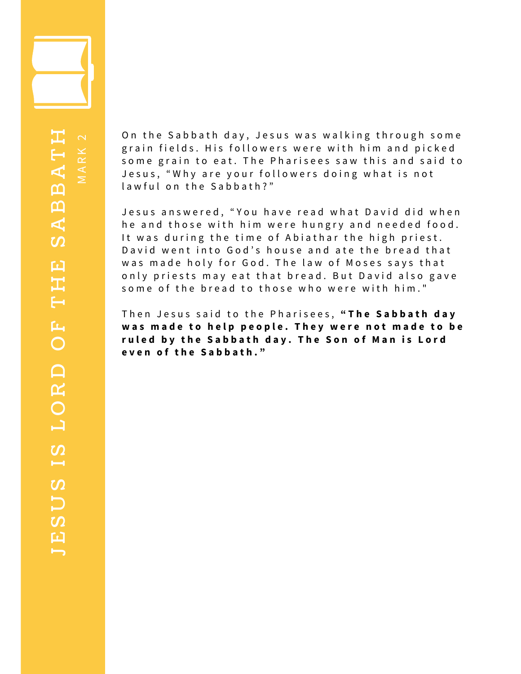

 $\geq$  $\prec$  $\propto$  $\leq$  $\sim$ 

 $\blacksquare$  $\boldsymbol{\mathsf{L}}$  $\boldsymbol{\mathcal{D}}$  $\bm{\Box}$  $\boldsymbol{\mathcal{D}}$  $\overline{\phantom{a}}$  $\boldsymbol{\mathcal{D}}$  $\mathord{\hspace{1pt}\text{--}\hspace{1pt}}$ O $\mathbf{p}$  $\Box$ OF $\vdash$ 工  $\boldsymbol{\mathsf{L}}$  $\boldsymbol{\mathcal{D}}$  $\blacktriangleleft$  $\boldsymbol{\vartriangle}$  $\boldsymbol{\vartriangle}$  $\textbf{A}$   $\textbf{A}$  $\vdash$ 工

On the Sabbath day, Jesus was walking through some grain fields. His followers were with him and picked some grain to eat. The Pharisees saw this and said to Jesus, "Why are your followers doing what is not lawful on the Sabbath?"

Jesus answered, "You have read what David did when he and those with him were hungry and needed food. It was during the time of Abiathar the high priest. David went into God's house and ate the bread that was made holy for God. The law of Moses says that only priests may eat that bread. But David also gave some of the bread to those who were with him."

T h e n J e s u s s a i d t o t h e P h a r i s e e s , **" T h e S a b b a t h d a y** was made to help people. They were not made to be ruled by the Sabbath day. The Son of Man is Lord **e v e n o f t h e S a b b a t h . "**